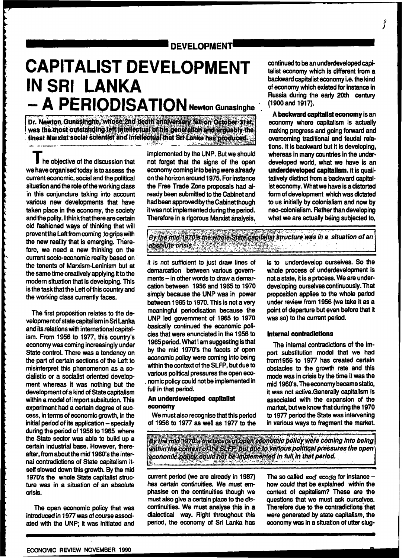# **DEVELOPMENT!**

# **CAPITALIST DEVELOPMENT IN SRI LANKA - A PERIODISATION**

Dr. Newton Gunasinghe, whose 2nd death anniversary fell on October 31st; **was the most outstanding left Intellectual of his generation and arguably the finest Marxist social scientist and intellectual that Srt Lanka has produced^** 

I **he objective of the discussion that we have organised today is to assess the current economic, social and the political situation and the role ofthe working class in this conjuncture taking into account various new developments that have taken place in the economy, the society and the polity. I think that there are certain old fashioned ways of thinking that will prevent the Left from coming .to grips with the new reality that is emerging. Therefore, we need a new thinking on the current socio-economic reality based on the tenents of Marxism-Leninism but at the same time creatively applying it to the modern situation that is developing. This is the task that the Left of this country and the working class currently faces.** 

**The first proposition relates to the development of state capitalism in Sri Lanka and its relations with international capitalism. From 1956 to 1977, this country's economy was coming increasingly under State control. There was a tendency on the part of certain sections of the Left to misinterpret this phenomenon as a socialistic or a socialist oriented development whereas it was nothing but the development of a kind of State capitalism within a model of import subsitutjon. This experiment had a certain degree of success, in terms of economic growth, in the initial period of its application - specially during the period of 1956 to 1965 where the State sector was able to build up a certain industrial base. However, thereafter, from about the mid 1960's the internal contradictions of State capitalism itself slowed down this growth. By the mid 1970's the whole State capitalist structure was in a situation of an absolute crisis.** 

والمستقر والمتحدث والمستقصر والمستقصر والمستقصر والمتحدث والمستقصر والمستقصر والمستقصر والمستقصر والمستقصر والمستقصر

The open economic policy that was **introduced in 1977 was of course associated with the UNP; it was initiated and**  **implemented by the UNP. But we should not forget that the signs of the open economy coming into being were already on the horizon around 1975. For instance the Free Trade Zone proposals had already been submitted to the Cabinet and had been approved by the Cabinet though it was not implemented during the period. Therefore in a rigorous Marxist analysis,** 

**continued to be an underdeveloped capitalist economy which is different from a backward capitalist economy i.e. the kind of economy which existed for instance in Russia during the early 20th century (1900 and 1917).** 

**<sup>A</sup> backward capitalist economy is an economy where capitalism is actually making progress and going forward and overcoming traditional and feudal relations. It is backward but it is developing, whereas in many countries in the underdeveloped world, what we have is an underdeveloped capitalism. It is qualitatively distinct from a backward capitalist economy. What we have is a distorted form of development which was dictated to us initially by colonialism and now by neo-colonialism. Rather than developing what we are actually being subjected to,** 

By the mid 1970's the whole State capitalist structure was in a situation of an *absolute crisis./- -'" "\*-<sup>j</sup> - > '."<sup>1</sup>*

**it is not sufficient to just draw lines of demarcation between various govern**ments - in other words to draw a demar**cation between 1956 and 1965 to 1970 simply because the UNP was in power between 1965 to 1970. This is not a very meaningful periodisation because the UNP led government of 1965 to 1970 basically continued the economic policies that were enunciated in the 1956 to 1965 period. What I am suggesting is that by the mid 1970's the facets of open economic policy were coming into being within the context of the SLFP, but due to various political pressures the open eco- . nomic policy could not be implemented in full in that period.** 

### **An underdeveloped capitalist economy**

**W e must also recognise that this period of 1956 to 1977 as well as 1977 to the** 

**is to underdevelop ourselves. So the whole process of underdevelopment is**  not a state, it is a process. We are under**developing ourselves continuously. That proposition applies to the whole period under review from 1956 (we take it as a point of departure but even before that it was so) to the current period.** 

### **Internal contradictions**

**The internal contradictions of the import substitution model that we had from1956 to 1977 has created certain obstacles to the growth rate and this mode was in crisis by the time it was the mid 1960's. The economy became static, it was not active.Generally capitalism is associated with the expansion of the market, but we know that during the 1970 to 1977 period the State was intervening in various ways to fragment the market.** 

**1 W'. R**  *By the midi9ZQ's the facets olop\$nreconomic policy were coming into being within the Gontextjpffhe \$UrPtpujt due to various politfcal pressures the open economic poticy could not be implemented In full In that period.* 

**current period (we are already in 1987)**  has certain continuities. We must em**phasise on the continuities though we must also give a certain place to the dis**continuities. We must analyse this in a **dialectical way. Right throughout this period, the economy of Sri Lanka has** 

**The so called and sende for instance how could that be explained within the context of capitalism? These are the questions that we must ask ourselves. Therefore due to the contradictions'that were generated by state capitalism, the economy was in a situation of utter slug-**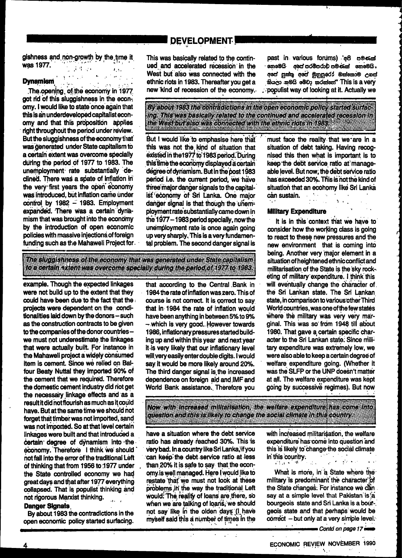### **DEVELOPMENT!**

gishness and non-growth by the time it was 1977.  $\mathbf{F}(\mathbf{t})$ 

### **Dynamism**

# $\sim 10^{11}$  and  $\sim 10^{11}$

The opening of the economy in 1977 got rid of this sluggishness in the economy. I would like to state once again that this is an underdeveloped capitalist economy and that this proposition applies right throughout the period under review. But the sluggishness of the economy that was generated under State capitalism to a certain extent was overcome specially during the period of 1977 to 1983. The unemployment rate substantially declined. There was a spate of inflation in the very first years the open economy was introduced, but inflation came under control by 1982 - 1983. Employment expanded. There was a certain dynamism that was brought into the economy by the introduction of open economic policies with massive injections of foreign funding such as the Mahaweli Project for. This was basically related to the continued and accelerated recession in the West but also was connected with the ethnic riots in 1983. Thereafter you get a new kind of recession of the economy.

past in various forums) e8 cess හොමෙයි අපේ පරම්පරාව පමණක් නොමෙයි. අපේ පුන්තු අපේ මුනුපුරෝ ඔක්කොම උගස් නියලා නමයි මෙවා කරන්නේ" This is a very populist way of looking at it. Actually we

must face the reality that we are in a

situation of debt taking. Having recog-

nised this then what is important is to

keep the debt service ratio at manage-

able level. But now, the debt service ratio

has exceeded 30%. This is not the kind of

situation that an economy like Sri Lanka

 $\sim 10^{-1}$ 

 $\sim 10^{-1}$ 

 $\sim$ 

### By about 1983 the contradictions in the open economic policy started surfacing This was pasically related to the continued and accelerated recession in the Westport also was connected with the eliminations in 1983. **Maria Andrew**

But I would like to emphasise here that this was not the kind of situation that existed in the 1977 to 1983 period. During this time the economy displayed a certain degree of dynamism. But in the post 1983 period i.e. the current period, we have three major danger signals to the capitalist economy of Sri Lanka. One major danger signal is that though the unemployment rate substantially came down in the 1977 - 1983 period specially, now the unemployment rate is once again going up very sharply. This is a very fundamental problem. The second danger signal is

The Sluggishness of the economy that was generated under State capitalism <u>le Essaala Skien was overcome specially during the period of 1977 to 1981</u>

example. Though the expected linkages were not build up to the extent that they could have been due to the fact that the projects were dependent on the conditionalities laid down by the donors - such as the construction contracts to be given to the companies of the donor countries we must not underestimate the linkages that were actually built. For instance in the Mahaweli project a widely consumed item is cement. Since we relied on Balfour Beaty Nuttal they imported 90% of the cement that we required. Therefore the domestic cement industry did not get the necessary linkage effects and as a result it did not flourish as much as it could have. But at the same time we should not forget that timber was not imported, sand was not imported. So at that level certain linkages were built and that introduced a certain degree of dynamism into the economy. Therefore I think we should not fall into the error of the traditional Left of thinking that from 1956 to 1977 under the State controlled economy we had great days and that after 1977 everything collapsed. That is populist thinking and not rigorous Marxist thinking.  $\mathbf{A}$ 

### **Danger Signals**

By about 1983 the contradictions in the open economic policy started surfacing.

that according to the Central Bank in 1984 the rate of inflation was zero. This of course is not correct. It is correct to say that in 1984 the rate of inflation would have been anything in between 5% to 9% - which is very good. However towards 1986, inflationary pressures started building up and within this year and next year it is very likely that our inflationary level will very easily enter double digits. I would say it would be more likely around 20%. The third danger signal is the increased dependence on foreign aid and IMF and World Bank assistance. Therefore you

## **Military Expenditure**

can sustain.

It is in this context that we have to consider how the working class is going to react to these new pressures and the new environment that is coming into being. Another very major element in a situation of heightened ethnic conflict and militarisation of the State is the sky rocketing of military expenditure. I think this will eventually change the character of the Sri Lankan state. The Sri Lankan state, in comparison to various other Third World countries, was one of the few states where the military was very very marginal. This was so from 1948 till about 1980. That gave a certain specific character to the Sri Lankan state. Since military expenditure was extremely low, we were also able to keep a certain degree of welfare expenditure going. (Whether it was the SLFP or the UNP doesn't matter at all. The welfare expenditure was kept going by successive regimes). But now

Now yim hereased militaisation, the welfare expenditure has come into question and this is likely to change the social climate in this country.

have a situation where the debt service ratio has already reached 30%. This is very bad. In a country like Sri Lanka, if you can keep the debt service ratio at less than 20% it is safe to say that the economy is well managed. Here I would like to restate that we must not look at these problems in the way the traditional Left would: The reality of loans are there, so when we are talking of loans, we should not say like in the olden days (I have myself said this a number of times in the

with increased militarisation, the welfare expenditure has come into question and this is likely to change the social climate in this country.  $\sim 10^{11}$  m  $^{-1}$  $\mathcal{L}_{\mathcal{A}}$  ,  $\mathcal{L}_{\mathcal{A}}$  ,  $\mathcal{L}_{\mathcal{A}}$  ,  $\mathcal{L}_{\mathcal{A}}$ 

 $1.111$ 

**TELENT SE** 

What is more, in a State where the military is predominant the character of the State changes. For instance we can say at a simple level that Pakistan is a bourgeois state and Sri Lanka is a bour-. geois state and that perhaps would be correct - but only at a very simple level.

**Example 2** Contd on page 17 example